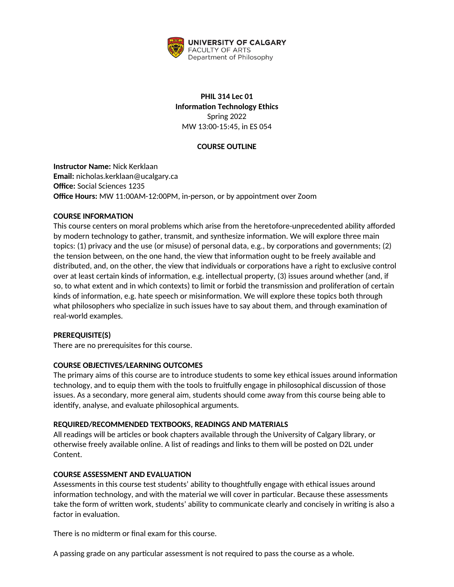

# **PHIL 314 Lec 01 Information Technology Ethics** Spring 2022 MW 13:00-15:45, in ES 054

# **COURSE OUTLINE**

**Instructor Name:** Nick Kerklaan **Email:** nicholas.kerklaan@ucalgary.ca **Office:** Social Sciences 1235 **Office Hours:** MW 11:00AM-12:00PM, in-person, or by appointment over Zoom

### **COURSE INFORMATION**

This course centers on moral problems which arise from the heretofore-unprecedented ability afforded by modern technology to gather, transmit, and synthesize information. We will explore three main topics: (1) privacy and the use (or misuse) of personal data, e.g., by corporations and governments; (2) the tension between, on the one hand, the view that information ought to be freely available and distributed, and, on the other, the view that individuals or corporations have a right to exclusive control over at least certain kinds of information, e.g. intellectual property, (3) issues around whether (and, if so, to what extent and in which contexts) to limit or forbid the transmission and proliferation of certain kinds of information, e.g. hate speech or misinformation. We will explore these topics both through what philosophers who specialize in such issues have to say about them, and through examination of real-world examples.

### **PREREQUISITE(S)**

There are no prerequisites for this course.

### **COURSE OBJECTIVES/LEARNING OUTCOMES**

The primary aims of this course are to introduce students to some key ethical issues around information technology, and to equip them with the tools to fruitfully engage in philosophical discussion of those issues. As a secondary, more general aim, students should come away from this course being able to identify, analyse, and evaluate philosophical arguments.

### **REQUIRED/RECOMMENDED TEXTBOOKS, READINGS AND MATERIALS**

All readings will be articles or book chapters available through the University of Calgary library, or otherwise freely available online. A list of readings and links to them will be posted on D2L under Content.

### **COURSE ASSESSMENT AND EVALUATION**

Assessments in this course test students' ability to thoughtfully engage with ethical issues around information technology, and with the material we will cover in particular. Because these assessments take the form of written work, students' ability to communicate clearly and concisely in writing is also a factor in evaluation.

There is no midterm or final exam for this course.

A passing grade on any particular assessment is not required to pass the course as a whole.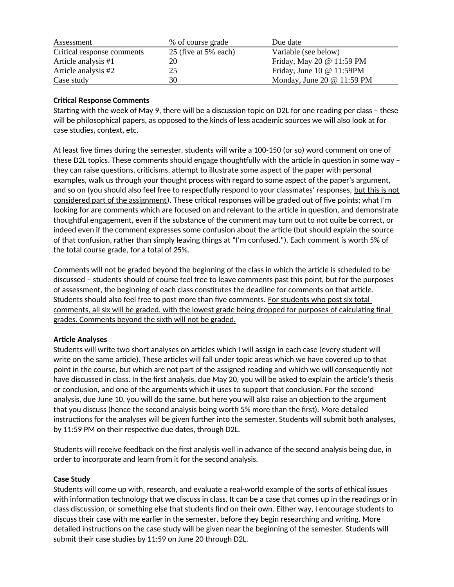| Assessment                 | % of course grade    | Due date                          |
|----------------------------|----------------------|-----------------------------------|
| Critical response comments | 25 (five at 5% each) | Variable (see below)              |
| Article analysis #1        | 20                   | Friday, May 20 @ 11:59 PM         |
| Article analysis #2        | 25                   | Friday, June 10 $@$ 11:59PM       |
| Case study                 | 30                   | Monday, June 20 $\omega$ 11:59 PM |

# **Critical Response Comments**

Starting with the week of May 9, there will be a discussion topic on D2L for one reading per class – these will be philosophical papers, as opposed to the kinds of less academic sources we will also look at for case studies, context, etc.

At least five times during the semester, students will write a 100-150 (or so) word comment on one of these D2L topics. These comments should engage thoughtfully with the article in question in some way – they can raise questions, criticisms, attempt to illustrate some aspect of the paper with personal examples, walk us through your thought process with regard to some aspect of the paper's argument, and so on (you should also feel free to respectfully respond to your classmates' responses, but this is not considered part of the assignment). These critical responses will be graded out of five points; what I'm looking for are comments which are focused on and relevant to the article in question, and demonstrate thoughtful engagement, even if the substance of the comment may turn out to not quite be correct, or indeed even if the comment expresses some confusion about the article (but should explain the source of that confusion, rather than simply leaving things at "I'm confused."). Each comment is worth 5% of the total course grade, for a total of 25%.

Comments will not be graded beyond the beginning of the class in which the article is scheduled to be discussed – students should of course feel free to leave comments past this point, but for the purposes of assessment, the beginning of each class constitutes the deadline for comments on that article. Students should also feel free to post more than five comments. For students who post six total comments, all six will be graded, with the lowest grade being dropped for purposes of calculating final grades. Comments beyond the sixth will not be graded.

### **Article Analyses**

Students will write two short analyses on articles which I will assign in each case (every student will write on the same article). These articles will fall under topic areas which we have covered up to that point in the course, but which are not part of the assigned reading and which we will consequently not have discussed in class. In the first analysis, due May 20, you will be asked to explain the article's thesis or conclusion, and one of the arguments which it uses to support that conclusion. For the second analysis, due June 10, you will do the same, but here you will also raise an objection to the argument that you discuss (hence the second analysis being worth 5% more than the first). More detailed instructions for the analyses will be given further into the semester. Students will submit both analyses, by 11:59 PM on their respective due dates, through D2L.

Students will receive feedback on the first analysis well in advance of the second analysis being due, in order to incorporate and learn from it for the second analysis.

### **Case Study**

Students will come up with, research, and evaluate a real-world example of the sorts of ethical issues with information technology that we discuss in class. It can be a case that comes up in the readings or in class discussion, or something else that students find on their own. Either way, I encourage students to discuss their case with me earlier in the semester, before they begin researching and writing. More detailed instructions on the case study will be given near the beginning of the semester. Students will submit their case studies by 11:59 on June 20 through D2L.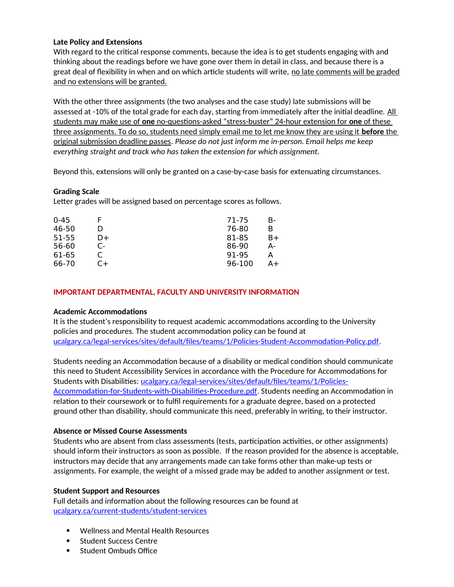## **Late Policy and Extensions**

With regard to the critical response comments, because the idea is to get students engaging with and thinking about the readings before we have gone over them in detail in class, and because there is a great deal of flexibility in when and on which article students will write, no late comments will be graded and no extensions will be granted.

With the other three assignments (the two analyses and the case study) late submissions will be assessed at -10% of the total grade for each day, starting from immediately after the initial deadline. All students may make use of **one** no-questions-asked "stress-buster" 24-hour extension for **one** of these three assignments. To do so, students need simply email me to let me know they are using it **before** the original submission deadline passes. *Please do not just inform me in-person. Email helps me keep everything straight and track who has taken the extension for which assignment.*

Beyond this, extensions will only be granted on a case-by-case basis for extenuating circumstances.

## **Grading Scale**

Letter grades will be assigned based on percentage scores as follows.

| $0 - 45$ |       | 71-75  | в- |
|----------|-------|--------|----|
| 46-50    |       | 76-80  | в  |
| 51-55    | D+    | 81-85  | B+ |
| 56-60    | $C -$ | 86-90  | А- |
| 61-65    |       | 91-95  | А  |
| 66-70    | C+    | 96-100 | A+ |

## **IMPORTANT DEPARTMENTAL, FACULTY AND UNIVERSITY INFORMATION**

### **Academic Accommodations**

It is the student's responsibility to request academic accommodations according to the University policies and procedures. The student accommodation policy can be found at [ucalgary.ca/legal-services/sites/default/files/teams/1/Policies-Student-Accommodation-Policy.pdf.](http://www.ucalgary.ca/legal-services/sites/default/files/teams/1/Policies-Student-Accommodation-Policy.pdf)

Students needing an Accommodation because of a disability or medical condition should communicate this need to Student Accessibility Services in accordance with the Procedure for Accommodations for Students with Disabilities: [ucalgary.ca/legal-services/sites/default/files/teams/1/Policies-](https://www.ucalgary.ca/legal-services/sites/default/files/teams/1/Policies-Accommodation-for-Students-with-Disabilities-Procedure.pdf)[Accommodation-for-Students-with-Disabilities-Procedure.pdf](https://www.ucalgary.ca/legal-services/sites/default/files/teams/1/Policies-Accommodation-for-Students-with-Disabilities-Procedure.pdf). Students needing an Accommodation in relation to their coursework or to fulfil requirements for a graduate degree, based on a protected ground other than disability, should communicate this need, preferably in writing, to their instructor.

### **Absence or Missed Course Assessments**

Students who are absent from class assessments (tests, participation activities, or other assignments) should inform their instructors as soon as possible. If the reason provided for the absence is acceptable, instructors may decide that any arrangements made can take forms other than make-up tests or assignments. For example, the weight of a missed grade may be added to another assignment or test.

### **Student Support and Resources**

Full details and information about the following resources can be found at [ucalgary.ca/current-students/student-services](https://www.ucalgary.ca/current-students/student-services)

- Wellness and Mental Health Resources
- Student Success Centre
- Student Ombuds Office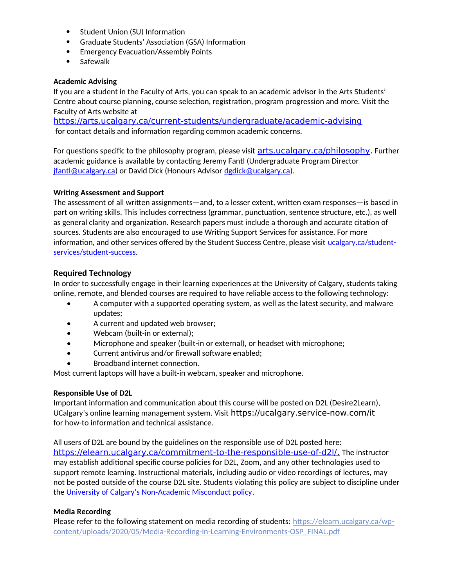- Student Union (SU) Information
- Graduate Students' Association (GSA) Information
- Emergency Evacuation/Assembly Points
- Safewalk

### **Academic Advising**

If you are a student in the Faculty of Arts, you can speak to an academic advisor in the Arts Students' Centre about course planning, course selection, registration, program progression and more. Visit the Faculty of Arts website at

<https://arts.ucalgary.ca/current-students/undergraduate/academic-advising> for contact details and information regarding common academic concerns.

For questions specific to the philosophy program, please visit **[arts.ucalgary.ca/philosophy](../../../C:/Users/btclarke/AppData/Local/Microsoft/Windows/INetCache/Content.Outlook/Q3DSKIFK/arts.ucalgary.ca/philosophy)**. Further academic guidance is available by contacting Jeremy Fantl (Undergraduate Program Director [jfantl@ucalgary.ca](mailto:jfantl@ucalgary.ca)) or David Dick (Honours Advisor [dgdick@ucalgary.ca](mailto:dgdick@ucalgary.ca)).

## **Writing Assessment and Support**

The assessment of all written assignments—and, to a lesser extent, written exam responses—is based in part on writing skills. This includes correctness (grammar, punctuation, sentence structure, etc.), as well as general clarity and organization. Research papers must include a thorough and accurate citation of sources. Students are also encouraged to use Writing Support Services for assistance. For more information, and other services offered by the Student Success Centre, please visit [ucalgary.ca/student](https://ucalgary.ca/student-services/student-success)[services/student-success](https://ucalgary.ca/student-services/student-success).

# **Required Technology**

In order to successfully engage in their learning experiences at the University of Calgary, students taking online, remote, and blended courses are required to have reliable access to the following technology:

- A computer with a supported operating system, as well as the latest security, and malware updates;
- A current and updated web browser;
- Webcam (built-in or external);
- Microphone and speaker (built-in or external), or headset with microphone;
- Current antivirus and/or firewall software enabled;
- Broadband internet connection.

Most current laptops will have a built-in webcam, speaker and microphone.

### **Responsible Use of D2L**

Important information and communication about this course will be posted on D2L (Desire2Learn), UCalgary's online learning management system. Visit https://ucalgary.service-now.com/it for how-to information and technical assistance.

All users of D2L are bound by the guidelines on the responsible use of D2L posted here:  [https://elearn.ucalgary.ca/commitment-to-the-responsible-use-of-d2l/.](https://elearn.ucalgary.ca/commitment-to-the-responsible-use-of-d2l/) The instructor may establish additional specific course policies for D2L, Zoom, and any other technologies used to support remote learning. Instructional materials, including audio or video recordings of lectures, may not be posted outside of the course D2L site. Students violating this policy are subject to discipline under the [University of Calgary's Non-Academic Misconduct policy](https://www.ucalgary.ca/legal-services/sites/default/files/teams/1/Policies-Student-Non-Academic-Misconduct-Policy.pdf).

### **Media Recording**

Please refer to the following statement on media recording of students: [https://elearn.ucalgary.ca/wp](https://elearn.ucalgary.ca/wp-content/uploads/2020/05/Media-Recording-in-Learning-Environments-OSP_FINAL.pdf)[content/uploads/2020/05/Media-Recording-in-Learning-Environments-OSP\\_FINAL.pdf](https://elearn.ucalgary.ca/wp-content/uploads/2020/05/Media-Recording-in-Learning-Environments-OSP_FINAL.pdf)